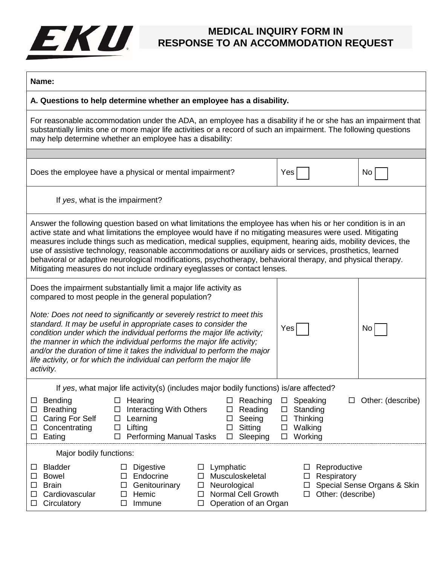## EKU.

## **MEDICAL INQUIRY FORM IN RESPONSE TO AN ACCOMMODATION REQUEST**

| am<br>۹ |  |
|---------|--|
|---------|--|

**A. Questions to help determine whether an employee has a disability.**

For reasonable accommodation under the ADA, an employee has a disability if he or she has an impairment that substantially limits one or more major life activities or a record of such an impairment. The following questions may help determine whether an employee has a disability:

| Does the employee have a physical or mental impairment? | ∣ Yes | No l |  |
|---------------------------------------------------------|-------|------|--|
|                                                         |       |      |  |

If *yes*, what is the impairment?

Answer the following question based on what limitations the employee has when his or her condition is in an active state and what limitations the employee would have if no mitigating measures were used. Mitigating measures include things such as medication, medical supplies, equipment, hearing aids, mobility devices, the use of assistive technology, reasonable accommodations or auxiliary aids or services, prosthetics, learned behavioral or adaptive neurological modifications, psychotherapy, behavioral therapy, and physical therapy. Mitigating measures do not include ordinary eyeglasses or contact lenses.

| Does the impairment substantially limit a major life activity as<br>compared to most people in the general population?                                                                                                                                                                                                                                                                                                                                        |     |      |
|---------------------------------------------------------------------------------------------------------------------------------------------------------------------------------------------------------------------------------------------------------------------------------------------------------------------------------------------------------------------------------------------------------------------------------------------------------------|-----|------|
| Note: Does not need to significantly or severely restrict to meet this<br>standard. It may be useful in appropriate cases to consider the<br>condition under which the individual performs the major life activity;<br>the manner in which the individual performs the major life activity;<br>and/or the duration of time it takes the individual to perform the major<br>life activity, or for which the individual can perform the major life<br>activity. | Yes | No l |

If *yes*, what major life activity(s) (includes major bodily functions) is/are affected?

|                         | Bending          |   | Hearing                        |        |                           |        | Reaching              |        | Speaking    |                   | Other: (describe) |                             |
|-------------------------|------------------|---|--------------------------------|--------|---------------------------|--------|-----------------------|--------|-------------|-------------------|-------------------|-----------------------------|
| $\Box$                  | <b>Breathing</b> |   | Interacting With Others        |        |                           | $\Box$ | Reading               | □      | Standing    |                   |                   |                             |
| $\Box$                  | Caring For Self  |   | Learning                       |        |                           |        | Seeing                |        | Thinking    |                   |                   |                             |
| $\Box$                  | Concentrating    |   | Lifting                        |        |                           |        | Sitting               | ப      | Walking     |                   |                   |                             |
|                         | Eating           |   | <b>Performing Manual Tasks</b> |        |                           | $\Box$ | Sleeping              | □      | Working     |                   |                   |                             |
| Major bodily functions: |                  |   |                                |        |                           |        |                       |        |             |                   |                   |                             |
|                         | <b>Bladder</b>   |   | <b>Digestive</b>               | $\Box$ | Lymphatic                 |        |                       |        | $\Box$      | Reproductive      |                   |                             |
|                         | Bowel            |   | Endocrine                      |        | Musculoskeletal           |        |                       | $\Box$ | Respiratory |                   |                   |                             |
|                         | <b>Brain</b>     | ⊔ | Genitourinary                  | $\Box$ | Neurological              |        |                       |        |             |                   |                   | Special Sense Organs & Skin |
|                         | Cardiovascular   |   | Hemic                          |        | <b>Normal Cell Growth</b> |        |                       |        | $\Box$      | Other: (describe) |                   |                             |
| $\Box$                  | Circulatory      |   | Immune                         |        |                           |        | Operation of an Organ |        |             |                   |                   |                             |